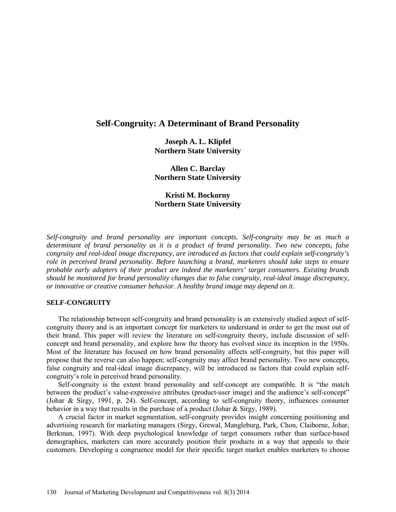# **Self-Congruity: A Determinant of Brand Personality**

**Joseph A. L. Klipfel Northern State University**

**Allen C. Barclay Northern State University**

**Kristi M. Bockorny Northern State University**

*Self-congruity and brand personality are important concepts. Self-congruity may be as much a determinant of brand personality as it is a product of brand personality. Two new concepts, false congruity and real-ideal image discrepancy, are introduced as factors that could explain self-congruity's role in perceived brand personality. Before launching a brand, marketers should take steps to ensure probable early adopters of their product are indeed the marketers' target consumers. Existing brands should be monitored for brand personality changes due to false congruity, real-ideal image discrepancy, or innovative or creative consumer behavior. A healthy brand image may depend on it.* 

## **SELF-CONGRUITY**

The relationship between self-congruity and brand personality is an extensively studied aspect of selfcongruity theory and is an important concept for marketers to understand in order to get the most out of their brand. This paper will review the literature on self-congruity theory, include discussion of selfconcept and brand personality, and explore how the theory has evolved since its inception in the 1950s. Most of the literature has focused on how brand personality affects self-congruity, but this paper will propose that the reverse can also happen; self-congruity may affect brand personality. Two new concepts, false congruity and real-ideal image discrepancy, will be introduced as factors that could explain selfcongruity's role in perceived brand personality.

Self-congruity is the extent brand personality and self-concept are compatible. It is "the match between the product's value-expressive attributes (product-user image) and the audience's self-concept" (Johar & Sirgy, 1991, p. 24). Self-concept, according to self-congruity theory, influences consumer behavior in a way that results in the purchase of a product (Johar & Sirgy, 1989).

A crucial factor in market segmentation, self-congruity provides insight concerning positioning and advertising research for marketing managers (Sirgy, Grewal, Mangleburg, Park, Chon, Claiborne, Johar, Berkman, 1997). With deep psychological knowledge of target consumers rather than surface-based demographics, marketers can more accurately position their products in a way that appeals to their customers. Developing a congruence model for their specific target market enables marketers to choose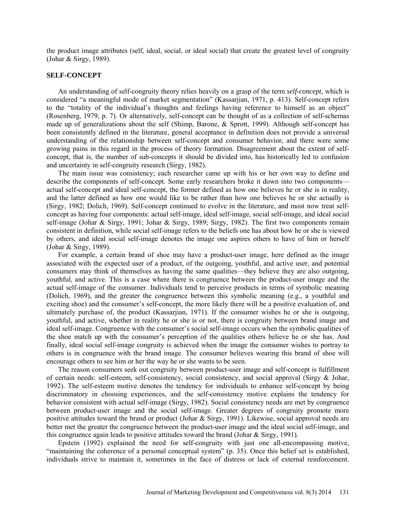the product image attributes (self, ideal, social, or ideal social) that create the greatest level of congruity (Johar & Sirgy, 1989).

## **SELF-CONCEPT**

An understanding of self-congruity theory relies heavily on a grasp of the term *self-concept*, which is considered "a meaningful mode of market segmentation" (Kassarjian, 1971, p. 413). Self-concept refers to the "totality of the individual's thoughts and feelings having reference to himself as an object" (Rosenberg, 1979, p. 7). Or alternatively, self-concept can be thought of as a collection of self-schemas made up of generalizations about the self (Shimp, Barone, & Sprott, 1999). Although self-concept has been consistently defined in the literature, general acceptance in definition does not provide a universal understanding of the relationship between self-concept and consumer behavior, and there were some growing pains in this regard in the process of theory formation. Disagreement about the extent of selfconcept, that is, the number of sub-concepts it should be divided into, has historically led to confusion and uncertainty in self-congruity research (Sirgy, 1982).

The main issue was consistency; each researcher came up with his or her own way to define and describe the components of self-concept. Some early researchers broke it down into two components actual self-concept and ideal self-concept, the former defined as how one believes he or she is in reality, and the latter defined as how one would like to be rather than how one believes he or she actually is (Sirgy, 1982; Dolich, 1969). Self-concept continued to evolve in the literature, and most now treat selfconcept as having four components: actual self-image, ideal self-image, social self-image, and ideal social self-image (Johar & Sirgy, 1991; Johar & Sirgy, 1989; Sirgy, 1982). The first two components remain consistent in definition, while social self-image refers to the beliefs one has about how he or she is viewed by others, and ideal social self-image denotes the image one aspires others to have of him or herself (Johar & Sirgy, 1989).

For example, a certain brand of shoe may have a product-user image, here defined as the image associated with the expected user of a product, of the outgoing, youthful, and active user, and potential consumers may think of themselves as having the same qualities—they believe they are also outgoing, youthful, and active. This is a case where there is congruence between the product-user image and the actual self-image of the consumer. Individuals tend to perceive products in terms of symbolic meaning (Dolich, 1969), and the greater the congruence between this symbolic meaning (e.g., a youthful and exciting shoe) and the consumer's self-concept, the more likely there will be a positive evaluation of, and ultimately purchase of, the product (Kassarjian, 1971). If the consumer wishes he or she is outgoing, youthful, and active, whether in reality he or she is or not, there is congruity between brand image and ideal self-image. Congruence with the consumer's social self-image occurs when the symbolic qualities of the shoe match up with the consumer's perception of the qualities others believe he or she has. And finally, ideal social self-image congruity is achieved when the image the consumer wishes to portray to others is in congruence with the brand image. The consumer believes wearing this brand of shoe will encourage others to see him or her the way he or she wants to be seen.

The reason consumers seek out congruity between product-user image and self-concept is fulfillment of certain needs: self-esteem, self-consistency, social consistency, and social approval (Sirgy & Johar, 1992). The self-esteem motive denotes the tendency for individuals to enhance self-concept by being discriminatory in choosing experiences, and the self-consistency motive explains the tendency for behavior consistent with actual self-image (Sirgy, 1982). Social consistency needs are met by congruence between product-user image and the social self-image. Greater degrees of congruity promote more positive attitudes toward the brand or product (Johar & Sirgy, 1991). Likewise, social approval needs are better met the greater the congruence between the product-user image and the ideal social self-image, and this congruence again leads to positive attitudes toward the brand (Johar & Sirgy, 1991).

Epstein (1992) explained the need for self-congruity with just one all-encompassing motive, "maintaining the coherence of a personal conceptual system" (p. 35). Once this belief set is established, individuals strive to maintain it, sometimes in the face of distress or lack of external reinforcement.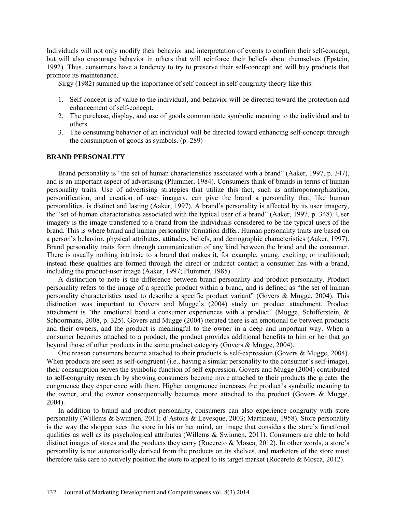Individuals will not only modify their behavior and interpretation of events to confirm their self-concept, but will also encourage behavior in others that will reinforce their beliefs about themselves (Epstein, 1992). Thus, consumers have a tendency to try to preserve their self-concept and will buy products that promote its maintenance.

Sirgy (1982) summed up the importance of self-concept in self-congruity theory like this:

- 1. Self-concept is of value to the individual, and behavior will be directed toward the protection and enhancement of self-concept.
- 2. The purchase, display, and use of goods communicate symbolic meaning to the individual and to others.
- 3. The consuming behavior of an individual will be directed toward enhancing self-concept through the consumption of goods as symbols. (p. 289)

## **BRAND PERSONALITY**

Brand personality is "the set of human characteristics associated with a brand" (Aaker, 1997, p. 347), and is an important aspect of advertising (Plummer, 1984). Consumers think of brands in terms of human personality traits. Use of advertising strategies that utilize this fact, such as anthropomorphization, personification, and creation of user imagery, can give the brand a personality that, like human personalities, is distinct and lasting (Aaker, 1997). A brand's personality is affected by its user imagery, the "set of human characteristics associated with the typical user of a brand" (Aaker, 1997, p. 348). User imagery is the image transferred to a brand from the individuals considered to be the typical users of the brand. This is where brand and human personality formation differ. Human personality traits are based on a person's behavior, physical attributes, attitudes, beliefs, and demographic characteristics (Aaker, 1997). Brand personality traits form through communication of any kind between the brand and the consumer. There is usually nothing intrinsic to a brand that makes it, for example, young, exciting, or traditional; instead these qualities are formed through the direct or indirect contact a consumer has with a brand, including the product-user image (Aaker, 1997; Plummer, 1985).

A distinction to note is the difference between brand personality and product personality. Product personality refers to the image of a specific product within a brand, and is defined as "the set of human personality characteristics used to describe a specific product variant" (Govers & Mugge, 2004). This distinction was important to Govers and Mugge's (2004) study on product attachment. Product attachment is "the emotional bond a consumer experiences with a product" (Mugge, Schifferstein, & Schoormans, 2008, p. 325). Govers and Mugge (2004) iterated there is an emotional tie between products and their owners, and the product is meaningful to the owner in a deep and important way. When a consumer becomes attached to a product, the product provides additional benefits to him or her that go beyond those of other products in the same product category (Govers & Mugge, 2004).

One reason consumers become attached to their products is self-expression (Govers & Mugge, 2004). When products are seen as self-congruent (i.e., having a similar personality to the consumer's self-image), their consumption serves the symbolic function of self-expression. Govers and Mugge (2004) contributed to self-congruity research by showing consumers become more attached to their products the greater the congruence they experience with them. Higher congruence increases the product's symbolic meaning to the owner, and the owner consequentially becomes more attached to the product (Govers & Mugge, 2004).

In addition to brand and product personality, consumers can also experience congruity with store personality (Willems & Swinnen, 2011; d'Astous & Levesque, 2003; Martineau, 1958). Store personality is the way the shopper sees the store in his or her mind, an image that considers the store's functional qualities as well as its psychological attributes (Willems  $\&$  Swinnen, 2011). Consumers are able to hold distinct images of stores and the products they carry (Rocereto & Mosca, 2012). In other words, a store's personality is not automatically derived from the products on its shelves, and marketers of the store must therefore take care to actively position the store to appeal to its target market (Rocereto & Mosca, 2012).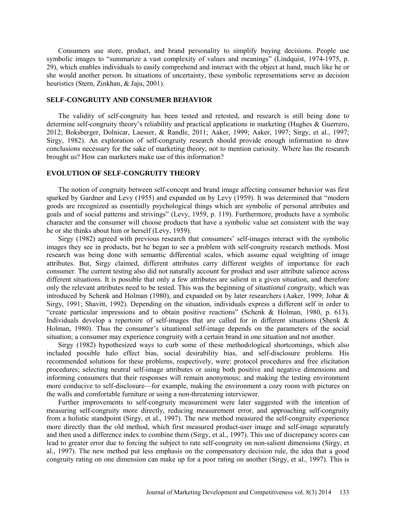Consumers use store, product, and brand personality to simplify buying decisions. People use symbolic images to "summarize a vast complexity of values and meanings" (Lindquist, 1974-1975, p. 29), which enables individuals to easily comprehend and interact with the object at hand, much like he or she would another person. In situations of uncertainty, these symbolic representations serve as decision heuristics (Stern, Zinkhan, & Jaju, 2001).

# **SELF-CONGRUITY AND CONSUMER BEHAVIOR**

The validity of self-congruity has been tested and retested, and research is still being done to determine self-congruity theory's reliability and practical applications in marketing (Hughes & Guerrero, 2012; Boksberger, Dolnicar, Laesser, & Randle, 2011; Aaker, 1999; Aaker, 1997; Sirgy, et al., 1997; Sirgy, 1982). An exploration of self-congruity research should provide enough information to draw conclusions necessary for the sake of marketing theory, not to mention curiosity. Where has the research brought us? How can marketers make use of this information?

## **EVOLUTION OF SELF-CONGRUITY THEORY**

The notion of congruity between self-concept and brand image affecting consumer behavior was first sparked by Gardner and Levy (1955) and expanded on by Levy (1959). It was determined that "modern goods are recognized as essentially psychological things which are symbolic of personal attributes and goals and of social patterns and strivings" (Levy, 1959, p. 119). Furthermore, products have a symbolic character and the consumer will choose products that have a symbolic value set consistent with the way he or she thinks about him or herself (Levy, 1959).

Sirgy (1982) agreed with previous research that consumers' self-images interact with the symbolic images they see in products, but he began to see a problem with self-congruity research methods. Most research was being done with semantic differential scales, which assume equal weighting of image attributes. But, Sirgy claimed, different attributes carry different weights of importance for each consumer. The current testing also did not naturally account for product and user attribute salience across different situations. It is possible that only a few attributes are salient in a given situation, and therefore only the relevant attributes need to be tested. This was the beginning of *situational congruity*, which was introduced by Schenk and Holman (1980), and expanded on by later researchers (Aaker, 1999; Johar & Sirgy, 1991; Shavitt, 1992). Depending on the situation, individuals express a different self in order to "create particular impressions and to obtain positive reactions" (Schenk & Holman, 1980, p. 613). Individuals develop a repertoire of self-images that are called for in different situations (Shenk & Holman, 1980). Thus the consumer's situational self-image depends on the parameters of the social situation; a consumer may experience congruity with a certain brand in one situation and not another.

Sirgy (1982) hypothesized ways to curb some of these methodological shortcomings, which also included possible halo effect bias, social desirability bias, and self-disclosure problems. His recommended solutions for these problems, respectively, were: protocol procedures and free elicitation procedures; selecting neutral self-image attributes or using both positive and negative dimensions and informing consumers that their responses will remain anonymous; and making the testing environment more conducive to self-disclosure—for example, making the environment a cozy room with pictures on the walls and comfortable furniture or using a non-threatening interviewer.

Further improvements to self-congruity measurement were later suggested with the intention of measuring self-congruity more directly, reducing measurement error, and approaching self-congruity from a holistic standpoint (Sirgy, et al., 1997). The new method measured the self-congruity experience more directly than the old method, which first measured product-user image and self-image separately and then used a difference index to combine them (Sirgy, et al., 1997). This use of discrepancy scores can lead to greater error due to forcing the subject to rate self-congruity on non-salient dimensions (Sirgy, et al., 1997). The new method put less emphasis on the compensatory decision rule, the idea that a good congruity rating on one dimension can make up for a poor rating on another (Sirgy, et al., 1997). This is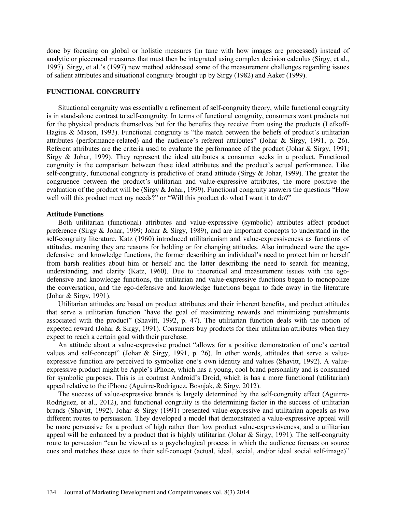done by focusing on global or holistic measures (in tune with how images are processed) instead of analytic or piecemeal measures that must then be integrated using complex decision calculus (Sirgy, et al., 1997). Sirgy, et al.'s (1997) new method addressed some of the measurement challenges regarding issues of salient attributes and situational congruity brought up by Sirgy (1982) and Aaker (1999).

## **FUNCTIONAL CONGRUITY**

Situational congruity was essentially a refinement of self-congruity theory, while functional congruity is in stand-alone contrast to self-congruity. In terms of functional congruity, consumers want products not for the physical products themselves but for the benefits they receive from using the products (Lefkoff-Hagius & Mason, 1993). Functional congruity is "the match between the beliefs of product's utilitarian attributes (performance-related) and the audience's referent attributes" (Johar & Sirgy, 1991, p. 26). Referent attributes are the criteria used to evaluate the performance of the product (Johar & Sirgy, 1991; Sirgy & Johar, 1999). They represent the ideal attributes a consumer seeks in a product. Functional congruity is the comparison between these ideal attributes and the product's actual performance. Like self-congruity, functional congruity is predictive of brand attitude (Sirgy & Johar, 1999). The greater the congruence between the product's utilitarian and value-expressive attributes, the more positive the evaluation of the product will be (Sirgy & Johar, 1999). Functional congruity answers the questions "How well will this product meet my needs?" or "Will this product do what I want it to do?"

# **Attitude Functions**

Both utilitarian (functional) attributes and value-expressive (symbolic) attributes affect product preference (Sirgy & Johar, 1999; Johar & Sirgy, 1989), and are important concepts to understand in the self-congruity literature. Katz (1960) introduced utilitarianism and value-expressiveness as functions of attitudes, meaning they are reasons for holding or for changing attitudes. Also introduced were the egodefensive and knowledge functions, the former describing an individual's need to protect him or herself from harsh realities about him or herself and the latter describing the need to search for meaning, understanding, and clarity (Katz, 1960). Due to theoretical and measurement issues with the egodefensive and knowledge functions, the utilitarian and value-expressive functions began to monopolize the conversation, and the ego-defensive and knowledge functions began to fade away in the literature (Johar & Sirgy, 1991).

Utilitarian attitudes are based on product attributes and their inherent benefits, and product attitudes that serve a utilitarian function "have the goal of maximizing rewards and minimizing punishments associated with the product" (Shavitt, 1992, p. 47). The utilitarian function deals with the notion of expected reward (Johar & Sirgy, 1991). Consumers buy products for their utilitarian attributes when they expect to reach a certain goal with their purchase.

An attitude about a value-expressive product "allows for a positive demonstration of one's central values and self-concept" (Johar & Sirgy, 1991, p. 26). In other words, attitudes that serve a valueexpressive function are perceived to symbolize one's own identity and values (Shavitt, 1992). A valueexpressive product might be Apple's iPhone, which has a young, cool brand personality and is consumed for symbolic purposes. This is in contrast Android's Droid, which is has a more functional (utilitarian) appeal relative to the iPhone (Aguirre-Rodriguez, Bosnjak, & Sirgy, 2012).

The success of value-expressive brands is largely determined by the self-congruity effect (Aguirre-Rodriguez, et al., 2012), and functional congruity is the determining factor in the success of utilitarian brands (Shavitt, 1992). Johar & Sirgy (1991) presented value-expressive and utilitarian appeals as two different routes to persuasion. They developed a model that demonstrated a value-expressive appeal will be more persuasive for a product of high rather than low product value-expressiveness, and a utilitarian appeal will be enhanced by a product that is highly utilitarian (Johar & Sirgy, 1991). The self-congruity route to persuasion "can be viewed as a psychological process in which the audience focuses on source cues and matches these cues to their self-concept (actual, ideal, social, and/or ideal social self-image)"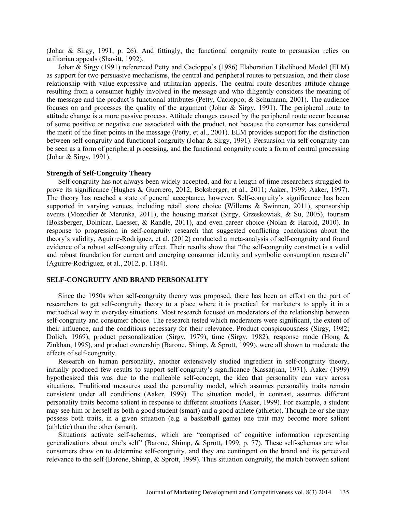(Johar & Sirgy, 1991, p. 26). And fittingly, the functional congruity route to persuasion relies on utilitarian appeals (Shavitt, 1992).

Johar & Sirgy (1991) referenced Petty and Cacioppo's (1986) Elaboration Likelihood Model (ELM) as support for two persuasive mechanisms, the central and peripheral routes to persuasion, and their close relationship with value-expressive and utilitarian appeals. The central route describes attitude change resulting from a consumer highly involved in the message and who diligently considers the meaning of the message and the product's functional attributes (Petty, Cacioppo, & Schumann, 2001). The audience focuses on and processes the quality of the argument (Johar & Sirgy, 1991). The peripheral route to attitude change is a more passive process. Attitude changes caused by the peripheral route occur because of some positive or negative cue associated with the product, not because the consumer has considered the merit of the finer points in the message (Petty, et al., 2001). ELM provides support for the distinction between self-congruity and functional congruity (Johar & Sirgy, 1991). Persuasion via self-congruity can be seen as a form of peripheral processing, and the functional congruity route a form of central processing (Johar & Sirgy, 1991).

#### **Strength of Self-Congruity Theory**

Self-congruity has not always been widely accepted, and for a length of time researchers struggled to prove its significance (Hughes & Guerrero, 2012; Boksberger, et al., 2011; Aaker, 1999; Aaker, 1997). The theory has reached a state of general acceptance, however. Self-congruity's significance has been supported in varying venues, including retail store choice (Willems & Swinnen, 2011), sponsorship events (Mozodier & Merunka, 2011), the housing market (Sirgy, Grzeskowiak, & Su, 2005), tourism (Boksberger, Dolnicar, Laesser, & Randle, 2011), and even career choice (Nolan & Harold, 2010). In response to progression in self-congruity research that suggested conflicting conclusions about the theory's validity, Aguirre-Rodriguez, et al. (2012) conducted a meta-analysis of self-congruity and found evidence of a robust self-congruity effect. Their results show that "the self-congruity construct is a valid and robust foundation for current and emerging consumer identity and symbolic consumption research" (Aguirre-Rodriguez, et al., 2012, p. 1184).

## **SELF-CONGRUITY AND BRAND PERSONALITY**

Since the 1950s when self-congruity theory was proposed, there has been an effort on the part of researchers to get self-congruity theory to a place where it is practical for marketers to apply it in a methodical way in everyday situations. Most research focused on moderators of the relationship between self-congruity and consumer choice. The research tested which moderators were significant, the extent of their influence, and the conditions necessary for their relevance. Product conspicuousness (Sirgy, 1982; Dolich, 1969), product personalization (Sirgy, 1979), time (Sirgy, 1982), response mode (Hong & Zinkhan, 1995), and product ownership (Barone, Shimp, & Sprott, 1999), were all shown to moderate the effects of self-congruity.

Research on human personality, another extensively studied ingredient in self-congruity theory, initially produced few results to support self-congruity's significance (Kassarjian, 1971). Aaker (1999) hypothesized this was due to the malleable self-concept, the idea that personality can vary across situations. Traditional measures used the personality model, which assumes personality traits remain consistent under all conditions (Aaker, 1999). The situation model, in contrast, assumes different personality traits become salient in response to different situations (Aaker, 1999). For example, a student may see him or herself as both a good student (smart) and a good athlete (athletic). Though he or she may possess both traits, in a given situation (e.g. a basketball game) one trait may become more salient (athletic) than the other (smart).

Situations activate self-schemas, which are "comprised of cognitive information representing generalizations about one's self" (Barone, Shimp, & Sprott, 1999, p. 77). These self-schemas are what consumers draw on to determine self-congruity, and they are contingent on the brand and its perceived relevance to the self (Barone, Shimp, & Sprott, 1999). Thus situation congruity, the match between salient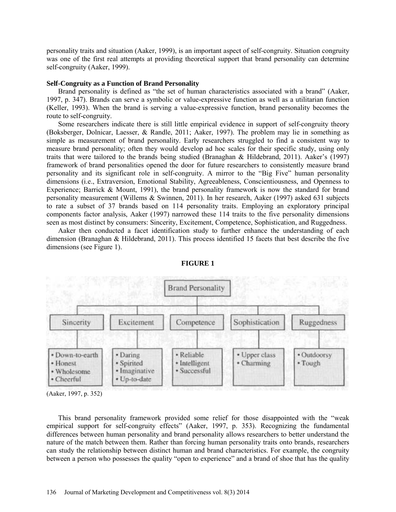personality traits and situation (Aaker, 1999), is an important aspect of self-congruity. Situation congruity was one of the first real attempts at providing theoretical support that brand personality can determine self-congruity (Aaker, 1999).

## **Self-Congruity as a Function of Brand Personality**

Brand personality is defined as "the set of human characteristics associated with a brand" (Aaker, 1997, p. 347). Brands can serve a symbolic or value-expressive function as well as a utilitarian function (Keller, 1993). When the brand is serving a value-expressive function, brand personality becomes the route to self-congruity.

Some researchers indicate there is still little empirical evidence in support of self-congruity theory (Boksberger, Dolnicar, Laesser, & Randle, 2011; Aaker, 1997). The problem may lie in something as simple as measurement of brand personality. Early researchers struggled to find a consistent way to measure brand personality; often they would develop ad hoc scales for their specific study, using only traits that were tailored to the brands being studied (Branaghan & Hildebrand, 2011). Aaker's (1997) framework of brand personalities opened the door for future researchers to consistently measure brand personality and its significant role in self-congruity. A mirror to the "Big Five" human personality dimensions (i.e., Extraversion, Emotional Stability, Agreeableness, Conscientiousness, and Openness to Experience; Barrick & Mount, 1991), the brand personality framework is now the standard for brand personality measurement (Willems & Swinnen, 2011). In her research, Aaker (1997) asked 631 subjects to rate a subset of 37 brands based on 114 personality traits. Employing an exploratory principal components factor analysis, Aaker (1997) narrowed these 114 traits to the five personality dimensions seen as most distinct by consumers: Sincerity, Excitement, Competence, Sophistication, and Ruggedness.

Aaker then conducted a facet identification study to further enhance the understanding of each dimension (Branaghan & Hildebrand, 2011). This process identified 15 facets that best describe the five dimensions (see Figure 1).





(Aaker, 1997, p. 352)

This brand personality framework provided some relief for those disappointed with the "weak empirical support for self-congruity effects" (Aaker, 1997, p. 353). Recognizing the fundamental differences between human personality and brand personality allows researchers to better understand the nature of the match between them. Rather than forcing human personality traits onto brands, researchers can study the relationship between distinct human and brand characteristics. For example, the congruity between a person who possesses the quality "open to experience" and a brand of shoe that has the quality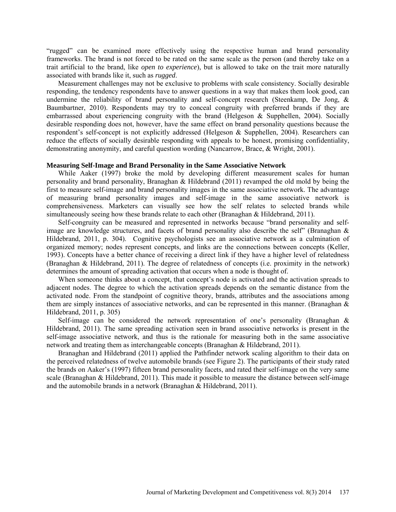"rugged" can be examined more effectively using the respective human and brand personality frameworks. The brand is not forced to be rated on the same scale as the person (and thereby take on a trait artificial to the brand, like *open to experience*), but is allowed to take on the trait more naturally associated with brands like it, such as *rugged*.

Measurement challenges may not be exclusive to problems with scale consistency. Socially desirable responding, the tendency respondents have to answer questions in a way that makes them look good, can undermine the reliability of brand personality and self-concept research (Steenkamp, De Jong, & Baumbartner, 2010). Respondents may try to conceal congruity with preferred brands if they are embarrassed about experiencing congruity with the brand (Helgeson & Supphellen, 2004). Socially desirable responding does not, however, have the same effect on brand personality questions because the respondent's self-concept is not explicitly addressed (Helgeson & Supphellen, 2004). Researchers can reduce the effects of socially desirable responding with appeals to be honest, promising confidentiality, demonstrating anonymity, and careful question wording (Nancarrow, Brace, & Wright, 2001).

## **Measuring Self-Image and Brand Personality in the Same Associative Network**

While Aaker (1997) broke the mold by developing different measurement scales for human personality and brand personality, Branaghan & Hildebrand (2011) revamped the old mold by being the first to measure self-image and brand personality images in the same associative network. The advantage of measuring brand personality images and self-image in the same associative network is comprehensiveness. Marketers can visually see how the self relates to selected brands while simultaneously seeing how these brands relate to each other (Branaghan & Hildebrand, 2011).

Self-congruity can be measured and represented in networks because "brand personality and selfimage are knowledge structures, and facets of brand personality also describe the self" (Branaghan & Hildebrand, 2011, p. 304). Cognitive psychologists see an associative network as a culmination of organized memory; nodes represent concepts, and links are the connections between concepts (Keller, 1993). Concepts have a better chance of receiving a direct link if they have a higher level of relatedness (Branaghan & Hildebrand, 2011). The degree of relatedness of concepts (i.e. proximity in the network) determines the amount of spreading activation that occurs when a node is thought of.

When someone thinks about a concept, that concept's node is activated and the activation spreads to adjacent nodes. The degree to which the activation spreads depends on the semantic distance from the activated node. From the standpoint of cognitive theory, brands, attributes and the associations among them are simply instances of associative networks, and can be represented in this manner. (Branaghan  $\&$ Hildebrand, 2011, p. 305)

Self-image can be considered the network representation of one's personality (Branaghan & Hildebrand, 2011). The same spreading activation seen in brand associative networks is present in the self-image associative network, and thus is the rationale for measuring both in the same associative network and treating them as interchangeable concepts (Branaghan & Hildebrand, 2011).

Branaghan and Hildebrand (2011) applied the Pathfinder network scaling algorithm to their data on the perceived relatedness of twelve automobile brands (see Figure 2). The participants of their study rated the brands on Aaker's (1997) fifteen brand personality facets, and rated their self-image on the very same scale (Branaghan & Hildebrand, 2011). This made it possible to measure the distance between self-image and the automobile brands in a network (Branaghan & Hildebrand, 2011).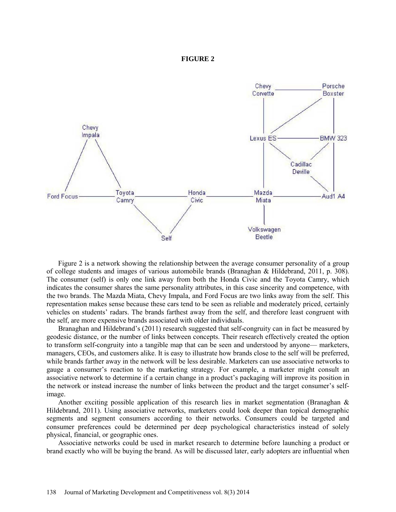## **FIGURE 2**



Figure 2 is a network showing the relationship between the average consumer personality of a group of college students and images of various automobile brands (Branaghan & Hildebrand, 2011, p. 308). The consumer (self) is only one link away from both the Honda Civic and the Toyota Camry, which indicates the consumer shares the same personality attributes, in this case sincerity and competence, with the two brands. The Mazda Miata, Chevy Impala, and Ford Focus are two links away from the self. This representation makes sense because these cars tend to be seen as reliable and moderately priced, certainly vehicles on students' radars. The brands farthest away from the self, and therefore least congruent with the self, are more expensive brands associated with older individuals.

Branaghan and Hildebrand's (2011) research suggested that self-congruity can in fact be measured by geodesic distance, or the number of links between concepts. Their research effectively created the option to transform self-congruity into a tangible map that can be seen and understood by anyone— marketers, managers, CEOs, and customers alike. It is easy to illustrate how brands close to the self will be preferred, while brands farther away in the network will be less desirable. Marketers can use associative networks to gauge a consumer's reaction to the marketing strategy. For example, a marketer might consult an associative network to determine if a certain change in a product's packaging will improve its position in the network or instead increase the number of links between the product and the target consumer's selfimage.

Another exciting possible application of this research lies in market segmentation (Branaghan  $\&$ Hildebrand, 2011). Using associative networks, marketers could look deeper than topical demographic segments and segment consumers according to their networks. Consumers could be targeted and consumer preferences could be determined per deep psychological characteristics instead of solely physical, financial, or geographic ones.

Associative networks could be used in market research to determine before launching a product or brand exactly who will be buying the brand. As will be discussed later, early adopters are influential when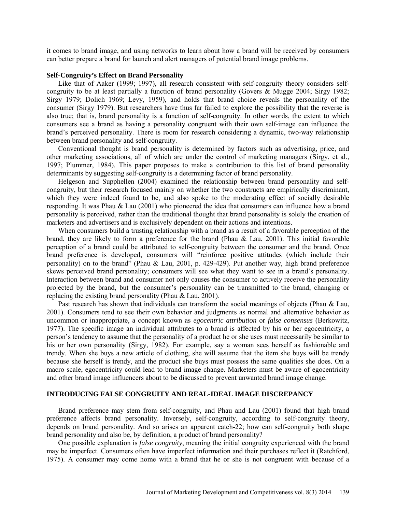it comes to brand image, and using networks to learn about how a brand will be received by consumers can better prepare a brand for launch and alert managers of potential brand image problems.

## **Self-Congruity's Effect on Brand Personality**

Like that of Aaker (1999; 1997), all research consistent with self-congruity theory considers selfcongruity to be at least partially a function of brand personality (Govers & Mugge 2004; Sirgy 1982; Sirgy 1979; Dolich 1969; Levy, 1959), and holds that brand choice reveals the personality of the consumer (Sirgy 1979). But researchers have thus far failed to explore the possibility that the reverse is also true; that is, brand personality is a function of self-congruity. In other words, the extent to which consumers see a brand as having a personality congruent with their own self-image can influence the brand's perceived personality. There is room for research considering a dynamic, two-way relationship between brand personality and self-congruity.

Conventional thought is brand personality is determined by factors such as advertising, price, and other marketing associations, all of which are under the control of marketing managers (Sirgy, et al., 1997; Plummer, 1984). This paper proposes to make a contribution to this list of brand personality determinants by suggesting self-congruity is a determining factor of brand personality.

Helgeson and Supphellen (2004) examined the relationship between brand personality and selfcongruity, but their research focused mainly on whether the two constructs are empirically discriminant, which they were indeed found to be, and also spoke to the moderating effect of socially desirable responding. It was Phau & Lau (2001) who pioneered the idea that consumers can influence how a brand personality is perceived, rather than the traditional thought that brand personality is solely the creation of marketers and advertisers and is exclusively dependent on their actions and intentions.

When consumers build a trusting relationship with a brand as a result of a favorable perception of the brand, they are likely to form a preference for the brand (Phau & Lau, 2001). This initial favorable perception of a brand could be attributed to self-congruity between the consumer and the brand. Once brand preference is developed, consumers will "reinforce positive attitudes (which include their personality) on to the brand" (Phau & Lau, 2001, p. 429-429). Put another way, high brand preference skews perceived brand personality; consumers will see what they want to see in a brand's personality. Interaction between brand and consumer not only causes the consumer to actively receive the personality projected by the brand, but the consumer's personality can be transmitted to the brand, changing or replacing the existing brand personality (Phau & Lau, 2001).

Past research has shown that individuals can transform the social meanings of objects (Phau & Lau, 2001). Consumers tend to see their own behavior and judgments as normal and alternative behavior as uncommon or inappropriate, a concept known as *egocentric attribution* or *false consensus* (Berkowitz, 1977). The specific image an individual attributes to a brand is affected by his or her egocentricity, a person's tendency to assume that the personality of a product he or she uses must necessarily be similar to his or her own personality (Sirgy, 1982). For example, say a woman sees herself as fashionable and trendy. When she buys a new article of clothing, she will assume that the item she buys will be trendy because she herself is trendy, and the product she buys must possess the same qualities she does. On a macro scale, egocentricity could lead to brand image change. Marketers must be aware of egocentricity and other brand image influencers about to be discussed to prevent unwanted brand image change.

# **INTRODUCING FALSE CONGRUITY AND REAL-IDEAL IMAGE DISCREPANCY**

Brand preference may stem from self-congruity, and Phau and Lau (2001) found that high brand preference affects brand personality. Inversely, self-congruity, according to self-congruity theory, depends on brand personality. And so arises an apparent catch-22; how can self-congruity both shape brand personality and also be, by definition, a product of brand personality?

One possible explanation is *false congruity*, meaning the initial congruity experienced with the brand may be imperfect. Consumers often have imperfect information and their purchases reflect it (Ratchford, 1975). A consumer may come home with a brand that he or she is not congruent with because of a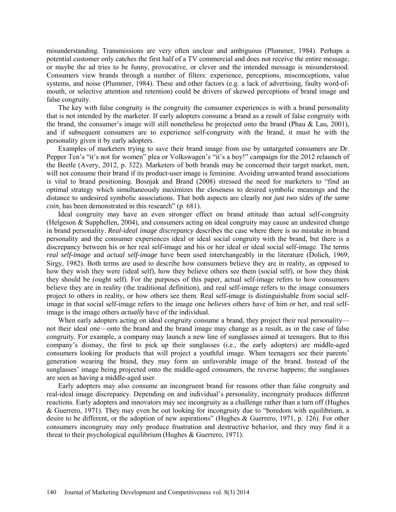misunderstanding. Transmissions are very often unclear and ambiguous (Plummer, 1984). Perhaps a potential customer only catches the first half of a TV commercial and does not receive the entire message, or maybe the ad tries to be funny, provocative, or clever and the intended message is misunderstood. Consumers view brands through a number of filters: experience, perceptions, misconceptions, value systems, and noise (Plummer, 1984). These and other factors (e.g. a lack of advertising, faulty word-ofmouth, or selective attention and retention) could be drivers of skewed perceptions of brand image and false congruity.

The key with false congruity is the congruity the consumer experiences is with a brand personality that is not intended by the marketer. If early adopters consume a brand as a result of false congruity with the brand, the consumer's image will still nonetheless be projected onto the brand (Phau & Lau, 2001), and if subsequent consumers are to experience self-congruity with the brand, it must be with the personality given it by early adopters.

Examples of marketers trying to save their brand image from use by untargeted consumers are Dr. Pepper Ten's "it's not for women" plea or Volkswagen's "it's a boy!" campaign for the 2012 relaunch of the Beetle (Avery, 2012, p. 322). Marketers of both brands may be concerned their target market, men, will not consume their brand if its product-user image is feminine. Avoiding unwanted brand associations is vital to brand positioning. Bosnjak and Brand (2008) stressed the need for marketers to "find an optimal strategy which simultaneously maximizes the closeness to desired symbolic meanings and the distance to undesired symbolic associations. That both aspects are clearly *not just two sides of the same coin,* has been demonstrated in this research" (p. 681).

Ideal congruity may have an even stronger effect on brand attitude than actual self-congruity (Helgeson & Supphellen, 2004), and consumers acting on ideal congruity may cause an undesired change in brand personality. *Real-ideal image discrepancy* describes the case where there is no mistake in brand personality and the consumer experiences ideal or ideal social congruity with the brand, but there is a discrepancy between his or her real self-image and his or her ideal or ideal social self-image. The terms *real self-image* and *actual self-image* have been used interchangeably in the literature (Dolich, 1969; Sirgy, 1982). Both terms are used to describe how consumers believe they are in reality, as opposed to how they wish they were (ideal self), how they believe others see them (social self), or how they think they should be (ought self). For the purposes of this paper, actual self-image refers to how consumers believe they are in reality (the traditional definition), and real self-image refers to the image consumers project to others in reality, or how others see them. Real self-image is distinguishable from social selfimage in that social self-image refers to the image one *believes* others have of him or her, and real selfimage is the image others *actually* have of the individual.

When early adopters acting on ideal congruity consume a brand, they project their real personality not their ideal one—onto the brand and the brand image may change as a result, as in the case of false congruity. For example, a company may launch a new line of sunglasses aimed at teenagers. But to this company's dismay, the first to pick up their sunglasses (i.e., the early adopters) are middle-aged consumers looking for products that will project a youthful image. When teenagers see their parents' generation wearing the brand, they may form an unfavorable image of the brand. Instead of the sunglasses' image being projected onto the middle-aged consumers, the reverse happens; the sunglasses are seen as having a middle-aged user.

Early adopters may also consume an incongruent brand for reasons other than false congruity and real-ideal image discrepancy. Depending on and individual's personality, incongruity produces different reactions. Early adopters and innovators may see incongruity as a challenge rather than a turn off (Hughes & Guerrero, 1971). They may even be out looking for incongruity due to "boredom with equilibrium, a desire to be different, or the adoption of new aspirations" (Hughes & Guerrero, 1971, p. 126). For other consumers incongruity may only produce frustration and destructive behavior, and they may find it a threat to their psychological equilibrium (Hughes & Guerrero, 1971).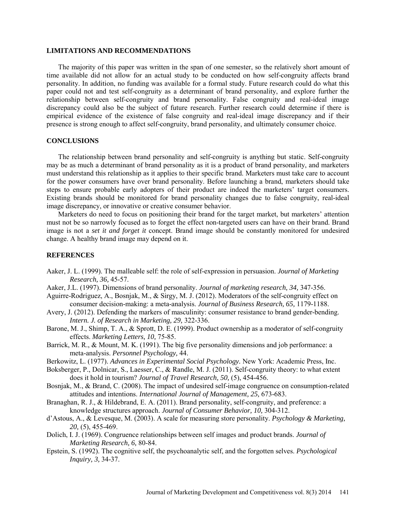#### **LIMITATIONS AND RECOMMENDATIONS**

The majority of this paper was written in the span of one semester, so the relatively short amount of time available did not allow for an actual study to be conducted on how self-congruity affects brand personality. In addition, no funding was available for a formal study. Future research could do what this paper could not and test self-congruity as a determinant of brand personality, and explore further the relationship between self-congruity and brand personality. False congruity and real-ideal image discrepancy could also be the subject of future research. Further research could determine if there is empirical evidence of the existence of false congruity and real-ideal image discrepancy and if their presence is strong enough to affect self-congruity, brand personality, and ultimately consumer choice.

## **CONCLUSIONS**

The relationship between brand personality and self-congruity is anything but static. Self-congruity may be as much a determinant of brand personality as it is a product of brand personality, and marketers must understand this relationship as it applies to their specific brand. Marketers must take care to account for the power consumers have over brand personality. Before launching a brand, marketers should take steps to ensure probable early adopters of their product are indeed the marketers' target consumers. Existing brands should be monitored for brand personality changes due to false congruity, real-ideal image discrepancy, or innovative or creative consumer behavior.

Marketers do need to focus on positioning their brand for the target market, but marketers' attention must not be so narrowly focused as to forget the effect non-targeted users can have on their brand. Brand image is not a *set it and forget it* concept. Brand image should be constantly monitored for undesired change. A healthy brand image may depend on it.

## **REFERENCES**

- Aaker, J. L. (1999). The malleable self: the role of self-expression in persuasion. *Journal of Marketing Research, 36,* 45-57.
- Aaker, J.L. (1997). Dimensions of brand personality. *Journal of marketing research, 34,* 347-356.
- Aguirre-Rodriguez, A., Bosnjak, M., & Sirgy, M. J. (2012). Moderators of the self-congruity effect on consumer decision-making: a meta-analysis. *Journal of Business Research, 65,* 1179-1188.
- Avery, J. (2012). Defending the markers of masculinity: consumer resistance to brand gender-bending. *Intern. J. of Research in Marketing, 29,* 322-336.
- Barone, M. J., Shimp, T. A., & Sprott, D. E. (1999). Product ownership as a moderator of self-congruity effects. *Marketing Letters, 10,* 75-85.
- Barrick, M. R., & Mount, M. K. (1991). The big five personality dimensions and job performance: a meta-analysis. *Personnel Psychology,* 44.
- Berkowitz, L. (1977). *Advances in Experimental Social Psychology.* New York: Academic Press, Inc.
- Boksberger, P., Dolnicar, S., Laesser, C., & Randle, M. J. (2011). Self-congruity theory: to what extent does it hold in tourism? *Journal of Travel Research, 50,* (5), 454-456.
- Bosnjak, M., & Brand, C. (2008). The impact of undesired self-image congruence on consumption-related attitudes and intentions. *International Journal of Management, 25,* 673-683.
- Branaghan, R. J., & Hildebrand, E. A. (2011). Brand personality, self-congruity, and preference: a knowledge structures approach. *Journal of Consumer Behavior, 10,* 304-312.
- d'Astous, A., & Levesque, M. (2003). A scale for measuring store personality. *Psychology & Marketing, 20,* (5), 455-469.
- Dolich, I. J. (1969). Congruence relationships between self images and product brands. *Journal of Marketing Research, 6,* 80-84.
- Epstein, S. (1992). The cognitive self, the psychoanalytic self, and the forgotten selves. *Psychological Inquiry, 3,* 34-37.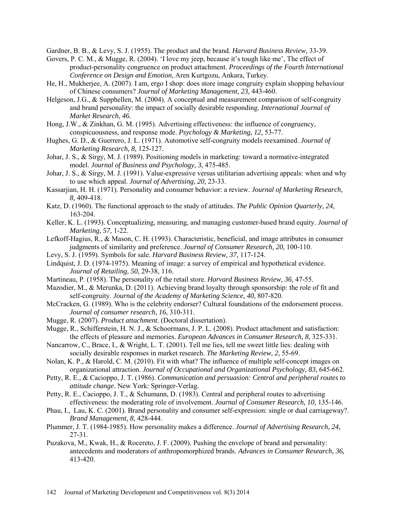Gardner, B. B., & Levy, S. J. (1955). The product and the brand. *Harvard Business Review,* 33-39.

- Govers, P. C. M., & Mugge, R. (2004). 'I love my jeep, because it's tough like me', The effect of product-personality congruence on product attachment. *Proceedings of the Fourth International Conference on Design and Emotion*, Aren Kurtgozu, Ankara, Turkey.
- He, H., Mukherjee, A. (2007). I am, ergo I shop: does store image congruity explain shopping behaviour of Chinese consumers? *Journal of Marketing Management, 23,* 443-460.
- Helgeson, J.G., & Supphellen, M. (2004). A conceptual and measurement comparison of self-congruity and brand personality: the impact of socially desirable responding. *International Journal of Market Research, 46.*
- Hong, J.W., & Zinkhan, G. M. (1995). Advertising effectiveness: the influence of congruency, conspicuousness, and response mode. *Psychology & Marketing, 12,* 53-77.
- Hughes, G. D., & Guerrero, J. L. (1971). Automotive self-congruity models reexamined. *Journal of Marketing Research, 8,* 125-127.
- Johar, J. S., & Sirgy, M. J. (1989). Positioning models in marketing: toward a normative-integrated model. *Journal of Business and Psychology, 3,* 475-485.
- Johar, J. S., & Sirgy, M. J. (1991). Value-expressive versus utilitarian advertising appeals: when and why to use which appeal. *Journal of Advertising, 20,* 23-33.
- Kassarjian, H. H. (1971). Personality and consumer behavior: a review. *Journal of Marketing Research, 8,* 409-418.
- Katz, D. (1960). The functional approach to the study of attitudes. *The Public Opinion Quarterly, 24,*  163-204.
- Keller, K. L. (1993). Conceptualizing, measuring, and managing customer-based brand equity. *Journal of Marketing, 57,* 1-22.
- Lefkoff-Hagius, R., & Mason, C. H. (1993). Characteristic, beneficial, and image attributes in consumer judgments of similarity and preference. *Journal of Consumer Research, 20,* 100-110.
- Levy, S. J. (1959). Symbols for sale. *Harvard Business Review, 37,* 117-124.
- Lindquist, J. D. (1974-1975). Meaning of image: a survey of empirical and hypothetical evidence. *Journal of Retailing, 50,* 29-38, 116.
- Martineau, P. (1958). The personality of the retail store. *Harvard Business Review, 36,* 47-55.
- Mazodier, M., & Merunka, D. (2011). Achieving brand loyalty through sponsorship: the role of fit and self-congruity. *Journal of the Academy of Marketing Science, 40,* 807-820.
- McCracken, G. (1989). Who is the celebrity endorser? Cultural foundations of the endorsement process. *Journal of consumer research, 16,* 310-311.
- Mugge, R. (2007). *Product attachment*. (Doctoral dissertation).
- Mugge, R., Schifferstein, H. N. J., & Schoormans, J. P. L. (2008). Product attachment and satisfaction: the effects of pleasure and memories. *European Advances in Consumer Research, 8,* 325-331.
- Nancarrow, C., Brace, I., & Wright, L. T. (2001). Tell me lies, tell me sweet little lies: dealing with socially desirable responses in market research. *The Marketing Review, 2,* 55-69.
- Nolan, K. P., & Harold, C. M. (2010). Fit with what? The influence of multiple self-concept images on organizational attraction. *Journal of Occupational and Organizational Psychology, 83,* 645-662.
- Petty, R. E., & Cacioppo, J. T. (1986). *Communication and persuasion: Central and peripheral routes to attitude change*. New York: Springer-Verlag.
- Petty, R. E., Cacioppo, J. T., & Schumann, D. (1983). Central and peripheral routes to advertising effectiveness: the moderating role of involvement. *Journal of Consumer Research, 10,* 135-146.
- Phau, I., Lau, K. C. (2001). Brand personality and consumer self-expression: single or dual carriageway?. *Brand Management, 8,* 428-444.
- Plummer, J. T. (1984-1985). How personality makes a difference. *Journal of Advertising Research, 24,*  27-31.
- Puzakova, M., Kwak, H., & Rocereto, J. F. (2009). Pushing the envelope of brand and personality: antecedents and moderators of anthropomorphized brands. *Advances in Consumer Research, 36,*  413-420.